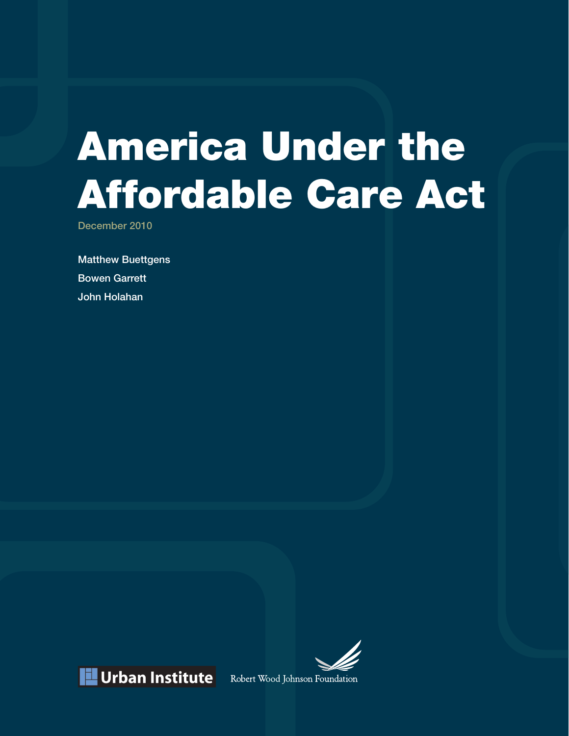# America Under the Affordable Care Act

December 2010

Matthew Buettgens Bowen Garrett John Holahan



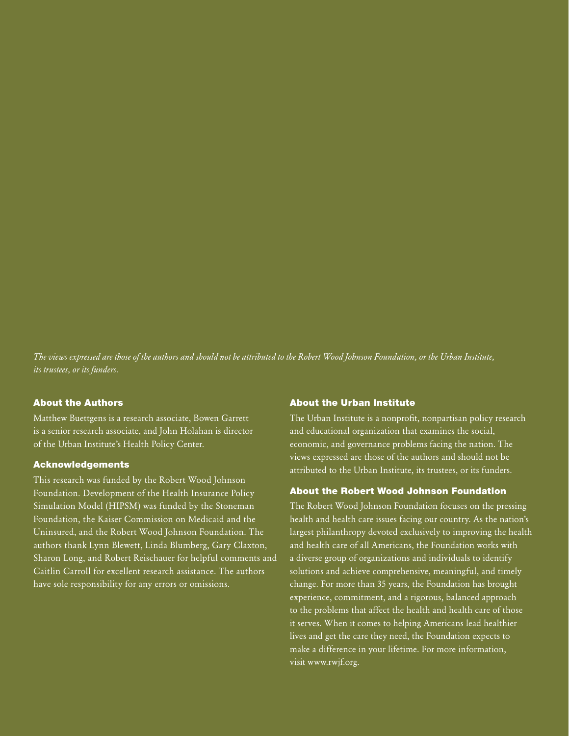*The views expressed are those of the authors and should not be attributed to the Robert Wood Johnson Foundation, or the Urban Institute, its trustees, or its funders.*

#### About the Authors

Matthew Buettgens is a research associate, Bowen Garrett is a senior research associate, and John Holahan is director of the Urban Institute's Health Policy Center.

#### Acknowledgements

This research was funded by the Robert Wood Johnson Foundation. Development of the Health Insurance Policy Simulation Model (HIPSM) was funded by the Stoneman Foundation, the Kaiser Commission on Medicaid and the Uninsured, and the Robert Wood Johnson Foundation. The authors thank Lynn Blewett, Linda Blumberg, Gary Claxton, Sharon Long, and Robert Reischauer for helpful comments and Caitlin Carroll for excellent research assistance. The authors have sole responsibility for any errors or omissions.

#### About the Urban Institute

The Urban Institute is a nonprofit, nonpartisan policy research and educational organization that examines the social, economic, and governance problems facing the nation. The views expressed are those of the authors and should not be attributed to the Urban Institute, its trustees, or its funders.

#### About the Robert Wood Johnson Foundation

The Robert Wood Johnson Foundation focuses on the pressing health and health care issues facing our country. As the nation's largest philanthropy devoted exclusively to improving the health and health care of all Americans, the Foundation works with a diverse group of organizations and individuals to identify solutions and achieve comprehensive, meaningful, and timely change. For more than 35 years, the Foundation has brought experience, commitment, and a rigorous, balanced approach to the problems that affect the health and health care of those it serves. When it comes to helping Americans lead healthier lives and get the care they need, the Foundation expects to make a difference in your lifetime. For more information, visit [www.rwjf.org.](www.rwjf.org)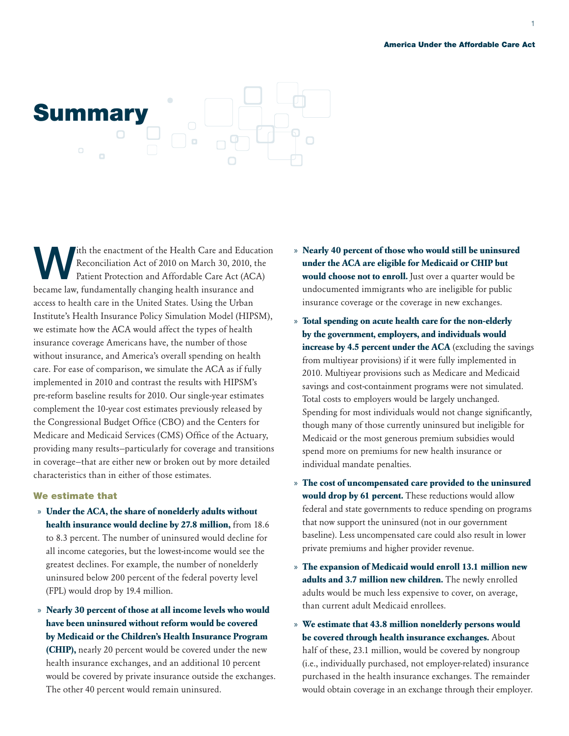#### America Under the Affordable Care Act



ith the enactment of the Health Care and Education Reconciliation Act of 2010 on March 30, 2010, the Patient Protection and Affordable Care Act (ACA) became law, fundamentally changing health insurance and access to health care in the United States. Using the Urban Institute's Health Insurance Policy Simulation Model (HIPSM), we estimate how the ACA would affect the types of health insurance coverage Americans have, the number of those without insurance, and America's overall spending on health care. For ease of comparison, we simulate the ACA as if fully implemented in 2010 and contrast the results with HIPSM's pre-reform baseline results for 2010. Our single-year estimates complement the 10-year cost estimates previously released by the Congressional Budget Office (CBO) and the Centers for Medicare and Medicaid Services (CMS) Office of the Actuary, providing many results—particularly for coverage and transitions in coverage—that are either new or broken out by more detailed characteristics than in either of those estimates.

#### We estimate that

- » **Under the ACA, the share of nonelderly adults without health insurance would decline by 27.8 million,** from 18.6 to 8.3 percent. The number of uninsured would decline for all income categories, but the lowest-income would see the greatest declines. For example, the number of nonelderly uninsured below 200 percent of the federal poverty level (FPL) would drop by 19.4 million.
- » **Nearly 30 percent of those at all income levels who would have been uninsured without reform would be covered by Medicaid or the Children's Health Insurance Program (CHIP),** nearly 20 percent would be covered under the new health insurance exchanges, and an additional 10 percent would be covered by private insurance outside the exchanges. The other 40 percent would remain uninsured.
- » **Nearly 40 percent of those who would still be uninsured under the ACA are eligible for Medicaid or CHIP but would choose not to enroll.** Just over a quarter would be undocumented immigrants who are ineligible for public insurance coverage or the coverage in new exchanges.
- » **Total spending on acute health care for the non-elderly by the government, employers, and individuals would increase by 4.5 percent under the ACA** (excluding the savings from multiyear provisions) if it were fully implemented in 2010. Multiyear provisions such as Medicare and Medicaid savings and cost-containment programs were not simulated. Total costs to employers would be largely unchanged. Spending for most individuals would not change significantly, though many of those currently uninsured but ineligible for Medicaid or the most generous premium subsidies would spend more on premiums for new health insurance or individual mandate penalties.
- » **The cost of uncompensated care provided to the uninsured would drop by 61 percent.** These reductions would allow federal and state governments to reduce spending on programs that now support the uninsured (not in our government baseline). Less uncompensated care could also result in lower private premiums and higher provider revenue.
- » **The expansion of Medicaid would enroll 13.1 million new adults and 3.7 million new children.** The newly enrolled adults would be much less expensive to cover, on average, than current adult Medicaid enrollees.
- » **We estimate that 43.8 million nonelderly persons would be covered through health insurance exchanges.** About half of these, 23.1 million, would be covered by nongroup (i.e., individually purchased, not employer-related) insurance purchased in the health insurance exchanges. The remainder would obtain coverage in an exchange through their employer.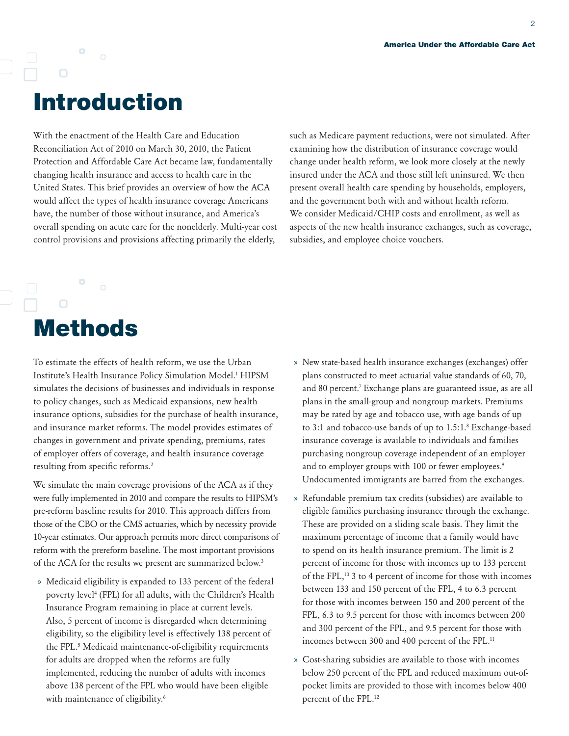# Introduction

 $\Box$ 

 $\Box$ 

With the enactment of the Health Care and Education Reconciliation Act of 2010 on March 30, 2010, the Patient Protection and Affordable Care Act became law, fundamentally changing health insurance and access to health care in the United States. This brief provides an overview of how the ACA would affect the types of health insurance coverage Americans have, the number of those without insurance, and America's overall spending on acute care for the nonelderly. Multi-year cost control provisions and provisions affecting primarily the elderly,

such as Medicare payment reductions, were not simulated. After examining how the distribution of insurance coverage would change under health reform, we look more closely at the newly insured under the ACA and those still left uninsured. We then present overall health care spending by households, employers, and the government both with and without health reform. We consider Medicaid/CHIP costs and enrollment, as well as aspects of the new health insurance exchanges, such as coverage, subsidies, and employee choice vouchers.

### $\Box$ Methods

To estimate the effects of health reform, we use the Urban Institute's Health Insurance Policy Simulation Model[.1](#page-13-0) HIPSM simulates the decisions of businesses and individuals in response to policy changes, such as Medicaid expansions, new health insurance options, subsidies for the purchase of health insurance, and insurance market reforms. The model provides estimates of changes in government and private spending, premiums, rates of employer offers of coverage, and health insurance coverage resulting from specific reforms.[2](#page-13-1)

We simulate the main coverage provisions of the ACA as if they were fully implemented in 2010 and compare the results to HIPSM's pre-reform baseline results for 2010. This approach differs from those of the CBO or the CMS actuaries, which by necessity provide 10-year estimates. Our approach permits more direct comparisons of reform with the prereform baseline. The most important provisions of the ACA for the results we present are summarized below.<sup>[3](#page-13-2)</sup>

» Medicaid eligibility is expanded to 133 percent of the federal poverty level[4](#page-13-3) (FPL) for all adults, with the Children's Health Insurance Program remaining in place at current levels. Also, 5 percent of income is disregarded when determining eligibility, so the eligibility level is effectively 138 percent of the FPL.[5](#page-13-4) Medicaid maintenance-of-eligibility requirements for adults are dropped when the reforms are fully implemented, reducing the number of adults with incomes above 138 percent of the FPL who would have been eligible with maintenance of eligibility.<sup>[6](#page-13-5)</sup>

- » New state-based health insurance exchanges (exchanges) offer plans constructed to meet actuarial value standards of 60, 70, and 80 percent[.7](#page-13-6) Exchange plans are guaranteed issue, as are all plans in the small-group and nongroup markets. Premiums may be rated by age and tobacco use, with age bands of up to 3:1 and tobacco-use bands of up to 1.5:1.[8](#page-13-7) Exchange-based insurance coverage is available to individuals and families purchasing nongroup coverage independent of an employer and to employer groups with 100 or fewer employees.<sup>9</sup> Undocumented immigrants are barred from the exchanges.
- » Refundable premium tax credits (subsidies) are available to eligible families purchasing insurance through the exchange. These are provided on a sliding scale basis. They limit the maximum percentage of income that a family would have to spend on its health insurance premium. The limit is 2 percent of income for those with incomes up to 133 percent of the FPL[,10](#page-13-9) 3 to 4 percent of income for those with incomes between 133 and 150 percent of the FPL, 4 to 6.3 percent for those with incomes between 150 and 200 percent of the FPL, 6.3 to 9.5 percent for those with incomes between 200 and 300 percent of the FPL, and 9.5 percent for those with incomes between 300 and 400 percent of the FPL.<sup>11</sup>
- » Cost-sharing subsidies are available to those with incomes below 250 percent of the FPL and reduced maximum out-ofpocket limits are provided to those with incomes below 400 percent of the FPL.[12](#page-13-11)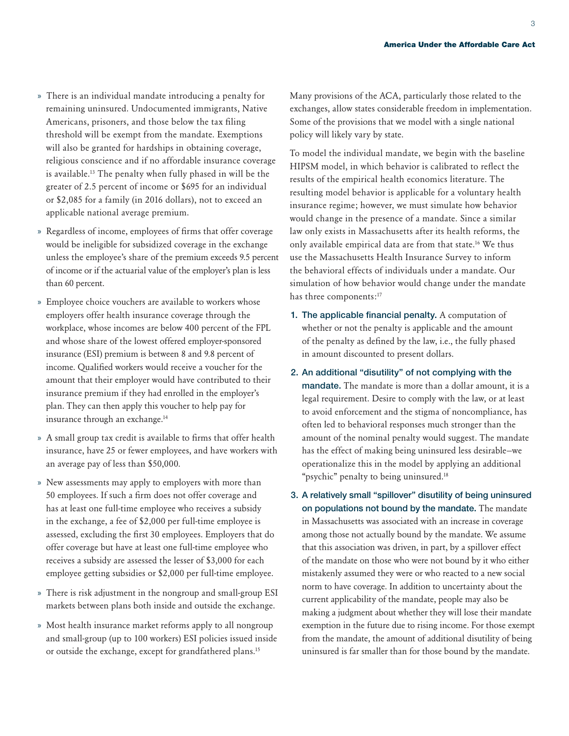- » There is an individual mandate introducing a penalty for remaining uninsured. Undocumented immigrants, Native Americans, prisoners, and those below the tax filing threshold will be exempt from the mandate. Exemptions will also be granted for hardships in obtaining coverage, religious conscience and if no affordable insurance coverage is available.[13](#page-13-12) The penalty when fully phased in will be the greater of 2.5 percent of income or \$695 for an individual or \$2,085 for a family (in 2016 dollars), not to exceed an applicable national average premium.
- » Regardless of income, employees of firms that offer coverage would be ineligible for subsidized coverage in the exchange unless the employee's share of the premium exceeds 9.5 percent of income or if the actuarial value of the employer's plan is less than 60 percent.
- » Employee choice vouchers are available to workers whose employers offer health insurance coverage through the workplace, whose incomes are below 400 percent of the FPL and whose share of the lowest offered employer-sponsored insurance (ESI) premium is between 8 and 9.8 percent of income. Qualified workers would receive a voucher for the amount that their employer would have contributed to their insurance premium if they had enrolled in the employer's plan. They can then apply this voucher to help pay for insurance through an exchange[.14](#page-14-0)
- » A small group tax credit is available to firms that offer health insurance, have 25 or fewer employees, and have workers with an average pay of less than \$50,000.
- » New assessments may apply to employers with more than 50 employees. If such a firm does not offer coverage and has at least one full-time employee who receives a subsidy in the exchange, a fee of \$2,000 per full-time employee is assessed, excluding the first 30 employees. Employers that do offer coverage but have at least one full-time employee who receives a subsidy are assessed the lesser of \$3,000 for each employee getting subsidies or \$2,000 per full-time employee.
- » There is risk adjustment in the nongroup and small-group ESI markets between plans both inside and outside the exchange.
- » Most health insurance market reforms apply to all nongroup and small-group (up to 100 workers) ESI policies issued inside or outside the exchange, except for grandfathered plans[.15](#page-14-1)

Many provisions of the ACA, particularly those related to the exchanges, allow states considerable freedom in implementation. Some of the provisions that we model with a single national policy will likely vary by state.

To model the individual mandate, we begin with the baseline HIPSM model, in which behavior is calibrated to reflect the results of the empirical health economics literature. The resulting model behavior is applicable for a voluntary health insurance regime; however, we must simulate how behavior would change in the presence of a mandate. Since a similar law only exists in Massachusetts after its health reforms, the only available empirical data are from that state[.16](#page-14-2) We thus use the Massachusetts Health Insurance Survey to inform the behavioral effects of individuals under a mandate. Our simulation of how behavior would change under the mandate has three components:<sup>[17](#page-14-3)</sup>

- 1. The applicable financial penalty. A computation of whether or not the penalty is applicable and the amount of the penalty as defined by the law, i.e., the fully phased in amount discounted to present dollars.
- 2. An additional "disutility" of not complying with the mandate. The mandate is more than a dollar amount, it is a legal requirement. Desire to comply with the law, or at least to avoid enforcement and the stigma of noncompliance, has often led to behavioral responses much stronger than the amount of the nominal penalty would suggest. The mandate has the effect of making being uninsured less desirable—we operationalize this in the model by applying an additional "psychic" penalty to being uninsured.<sup>18</sup>
- 3. A relatively small "spillover" disutility of being uninsured on populations not bound by the mandate. The mandate in Massachusetts was associated with an increase in coverage among those not actually bound by the mandate. We assume that this association was driven, in part, by a spillover effect of the mandate on those who were not bound by it who either mistakenly assumed they were or who reacted to a new social norm to have coverage. In addition to uncertainty about the current applicability of the mandate, people may also be making a judgment about whether they will lose their mandate exemption in the future due to rising income. For those exempt from the mandate, the amount of additional disutility of being uninsured is far smaller than for those bound by the mandate.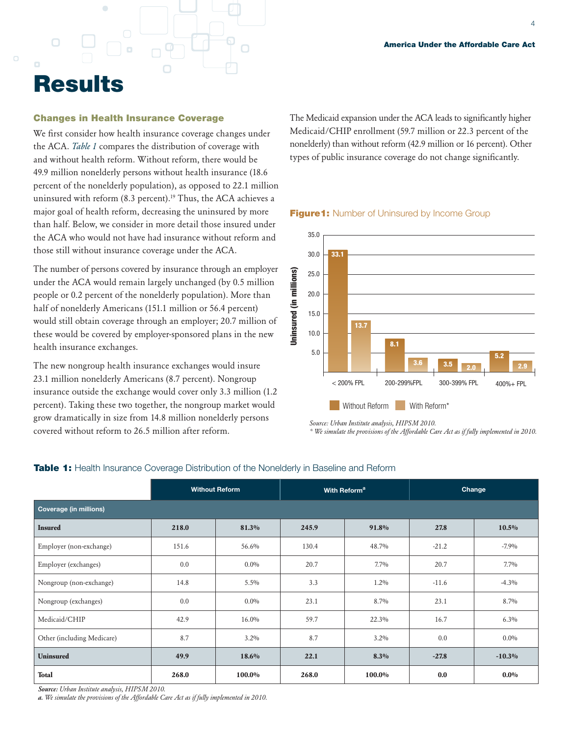# **Results**

#### Changes in Health Insurance Coverage

We first consider how health insurance coverage changes under the ACA. *Table 1* compares the distribution of coverage with and without health reform. Without reform, there would be 49.9 million nonelderly persons without health insurance (18.6 percent of the nonelderly population), as opposed to 22.1 million uninsured with reform (8.3 percent).<sup>19</sup> Thus, the ACA achieves a major goal of health reform, decreasing the uninsured by more than half. Below, we consider in more detail those insured under the ACA who would not have had insurance without reform and those still without insurance coverage under the ACA.

The number of persons covered by insurance through an employer under the ACA would remain largely unchanged (by 0.5 million people or 0.2 percent of the nonelderly population). More than half of nonelderly Americans (151.1 million or 56.4 percent) would still obtain coverage through an employer; 20.7 million of these would be covered by employer-sponsored plans in the new health insurance exchanges.

The new nongroup health insurance exchanges would insure 23.1 million nonelderly Americans (8.7 percent). Nongroup insurance outside the exchange would cover only 3.3 million (1.2 percent). Taking these two together, the nongroup market would grow dramatically in size from 14.8 million nonelderly persons covered without reform to 26.5 million after reform.

The Medicaid expansion under the ACA leads to significantly higher Medicaid/CHIP enrollment (59.7 million or 22.3 percent of the nonelderly) than without reform (42.9 million or 16 percent). Other types of public insurance coverage do not change significantly.



#### **Figure1:** Number of Uninsured by Income Group

*Source: Urban Institute analysis, HIPSM 2010.*

*\* We simulate the provisions of the Affordable Care Act as if fully implemented in 2010.*

|                               | <b>Without Reform</b> |         | With Reform <sup>a</sup> |         | Change  |          |  |
|-------------------------------|-----------------------|---------|--------------------------|---------|---------|----------|--|
| <b>Coverage (in millions)</b> |                       |         |                          |         |         |          |  |
| <b>Insured</b>                | 218.0                 | 81.3%   | 245.9                    | 91.8%   | 27.8    | $10.5\%$ |  |
| Employer (non-exchange)       | 151.6                 | 56.6%   | 130.4                    | 48.7%   | $-21.2$ | $-7.9%$  |  |
| Employer (exchanges)          | 0.0                   | $0.0\%$ | 20.7                     | $7.7\%$ | 20.7    | $7.7\%$  |  |
| Nongroup (non-exchange)       | 14.8                  | $5.5\%$ | 3.3                      | $1.2\%$ | $-11.6$ | $-4.3\%$ |  |
| Nongroup (exchanges)          | 0.0                   | $0.0\%$ | 23.1                     | 8.7%    | 23.1    | 8.7%     |  |
| Medicaid/CHIP                 | 42.9                  | 16.0%   | 59.7                     | 22.3%   | 16.7    | $6.3\%$  |  |
| Other (including Medicare)    | 8.7                   | $3.2\%$ | 8.7                      | $3.2\%$ | 0.0     | $0.0\%$  |  |
| <b>Uninsured</b>              | 49.9                  | 18.6%   | 22.1                     | $8.3\%$ | $-27.8$ | $-10.3%$ |  |
| <b>Total</b>                  | 268.0                 | 100.0%  | 268.0                    | 100.0%  | 0.0     | $0.0\%$  |  |

#### **Table 1:** Health Insurance Coverage Distribution of the Nonelderly in Baseline and Reform

*Source: Urban Institute analysis, HIPSM 2010.*

*a. We simulate the provisions of the Affordable Care Act as if fully implemented in 2010.*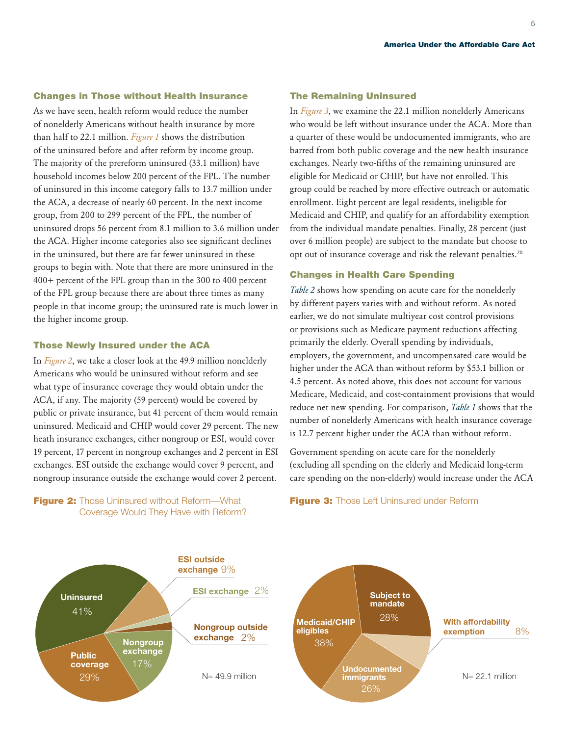America Under the Affordable Care Act

#### Changes in Those without Health Insurance

As we have seen, health reform would reduce the number of nonelderly Americans without health insurance by more than half to 22.1 million. *Figure 1* shows the distribution of the uninsured before and after reform by income group. The majority of the prereform uninsured (33.1 million) have household incomes below 200 percent of the FPL. The number of uninsured in this income category falls to 13.7 million under the ACA, a decrease of nearly 60 percent. In the next income group, from 200 to 299 percent of the FPL, the number of uninsured drops 56 percent from 8.1 million to 3.6 million under the ACA. Higher income categories also see significant declines in the uninsured, but there are far fewer uninsured in these groups to begin with. Note that there are more uninsured in the 400+ percent of the FPL group than in the 300 to 400 percent of the FPL group because there are about three times as many people in that income group; the uninsured rate is much lower in the higher income group.

#### Those Newly Insured under the ACA

In *Figure 2*, we take a closer look at the 49.9 million nonelderly Americans who would be uninsured without reform and see what type of insurance coverage they would obtain under the ACA, if any. The majority (59 percent) would be covered by public or private insurance, but 41 percent of them would remain uninsured. Medicaid and CHIP would cover 29 percent. The new heath insurance exchanges, either nongroup or ESI, would cover 19 percent, 17 percent in nongroup exchanges and 2 percent in ESI exchanges. ESI outside the exchange would cover 9 percent, and nongroup insurance outside the exchange would cover 2 percent.

**Figure 2:** Those Uninsured without Reform-What Coverage Would They Have with Reform?

#### The Remaining Uninsured

In *Figure 3*, we examine the 22.1 million nonelderly Americans who would be left without insurance under the ACA. More than a quarter of these would be undocumented immigrants, who are barred from both public coverage and the new health insurance exchanges. Nearly two-fifths of the remaining uninsured are eligible for Medicaid or CHIP, but have not enrolled. This group could be reached by more effective outreach or automatic enrollment. Eight percent are legal residents, ineligible for Medicaid and CHIP, and qualify for an affordability exemption from the individual mandate penalties. Finally, 28 percent (just over 6 million people) are subject to the mandate but choose to opt out of insurance coverage and risk the relevant penalties.[20](#page-14-6)

#### Changes in Health Care Spending

*Table 2* shows how spending on acute care for the nonelderly by different payers varies with and without reform. As noted earlier, we do not simulate multiyear cost control provisions or provisions such as Medicare payment reductions affecting primarily the elderly. Overall spending by individuals, employers, the government, and uncompensated care would be higher under the ACA than without reform by \$53.1 billion or 4.5 percent. As noted above, this does not account for various Medicare, Medicaid, and cost-containment provisions that would reduce net new spending. For comparison, *Table 1* shows that the number of nonelderly Americans with health insurance coverage is 12.7 percent higher under the ACA than without reform.

Government spending on acute care for the nonelderly (excluding all spending on the elderly and Medicaid long-term care spending on the non-elderly) would increase under the ACA



#### Figure 3: Those Left Uninsured under Reform

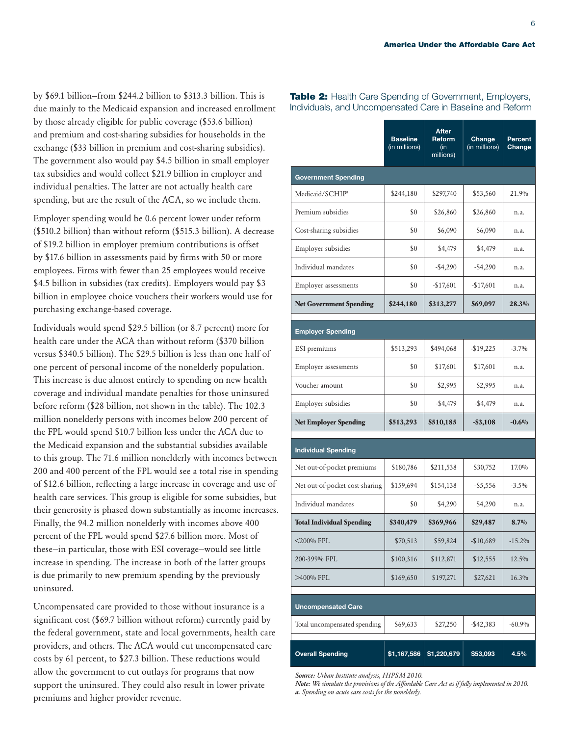by \$69.1 billion—from \$244.2 billion to \$313.3 billion. This is due mainly to the Medicaid expansion and increased enrollment by those already eligible for public coverage (\$53.6 billion) and premium and cost-sharing subsidies for households in the exchange (\$33 billion in premium and cost-sharing subsidies). The government also would pay \$4.5 billion in small employer tax subsidies and would collect \$21.9 billion in employer and individual penalties. The latter are not actually health care spending, but are the result of the ACA, so we include them.

Employer spending would be 0.6 percent lower under reform (\$510.2 billion) than without reform (\$515.3 billion). A decrease of \$19.2 billion in employer premium contributions is offset by \$17.6 billion in assessments paid by firms with 50 or more employees. Firms with fewer than 25 employees would receive \$4.5 billion in subsidies (tax credits). Employers would pay \$3 billion in employee choice vouchers their workers would use for purchasing exchange-based coverage.

Individuals would spend \$29.5 billion (or 8.7 percent) more for health care under the ACA than without reform (\$370 billion versus \$340.5 billion). The \$29.5 billion is less than one half of one percent of personal income of the nonelderly population. This increase is due almost entirely to spending on new health coverage and individual mandate penalties for those uninsured before reform (\$28 billion, not shown in the table). The 102.3 million nonelderly persons with incomes below 200 percent of the FPL would spend \$10.7 billion less under the ACA due to the Medicaid expansion and the substantial subsidies available to this group. The 71.6 million nonelderly with incomes between 200 and 400 percent of the FPL would see a total rise in spending of \$12.6 billion, reflecting a large increase in coverage and use of health care services. This group is eligible for some subsidies, but their generosity is phased down substantially as income increases. Finally, the 94.2 million nonelderly with incomes above 400 percent of the FPL would spend \$27.6 billion more. Most of these—in particular, those with ESI coverage—would see little increase in spending. The increase in both of the latter groups is due primarily to new premium spending by the previously uninsured.

Uncompensated care provided to those without insurance is a significant cost (\$69.7 billion without reform) currently paid by the federal government, state and local governments, health care providers, and others. The ACA would cut uncompensated care costs by 61 percent, to \$27.3 billion. These reductions would allow the government to cut outlays for programs that now support the uninsured. They could also result in lower private premiums and higher provider revenue.

|                                  | <b>Baseline</b><br>(in millions) | <b>After</b><br>Reform<br>(in<br>millions) | Change<br>(in millions) | Percent<br>Change |  |  |
|----------------------------------|----------------------------------|--------------------------------------------|-------------------------|-------------------|--|--|
| <b>Government Spending</b>       |                                  |                                            |                         |                   |  |  |
| Medicaid/SCHIP <sup>a</sup>      | \$244,180                        | \$297,740                                  | \$53,560                | 21.9%             |  |  |
| Premium subsidies                | \$0                              | \$26,860                                   | \$26,860                | n.a.              |  |  |
| Cost-sharing subsidies           | \$0                              | \$6,090                                    | \$6,090                 | n.a.              |  |  |
| Employer subsidies               | \$0                              | \$4,479                                    | \$4,479                 | n.a.              |  |  |
| Individual mandates              | \$0                              | $-$4,290$                                  | $-$ \$4,290             | n.a.              |  |  |
| <b>Employer</b> assessments      | \$0                              | $-$17,601$                                 | $-$17,601$              | n.a.              |  |  |
| <b>Net Government Spending</b>   | \$244,180                        | \$313,277                                  | \$69,097                | 28.3%             |  |  |
| <b>Employer Spending</b>         |                                  |                                            |                         |                   |  |  |
| ESI premiums                     | \$513,293                        | \$494,068                                  | $-$19,225$              | $-3.7%$           |  |  |
| <b>Employer</b> assessments      | \$0<br>\$17,601                  |                                            | \$17,601                | n.a.              |  |  |
| Voucher amount                   | \$0                              | \$2,995                                    | \$2,995                 | n.a.              |  |  |
| Employer subsidies               | \$0                              | $-$ \$4,479                                | $-$4,479$               | n.a.              |  |  |
| <b>Net Employer Spending</b>     | \$513,293                        | \$510,185                                  | $-$ \$3,108             | $-0.6%$           |  |  |
| <b>Individual Spending</b>       |                                  |                                            |                         |                   |  |  |
| Net out-of-pocket premiums       | \$180,786                        | \$211,538                                  | \$30,752                | 17.0%             |  |  |
| Net out-of-pocket cost-sharing   | \$159,694                        | \$154,138                                  | $-$ \$5,556             | $-3.5\%$          |  |  |
| Individual mandates              | \$0                              | \$4,290                                    | \$4,290                 | n.a.              |  |  |
| <b>Total Individual Spending</b> | \$340,479                        | \$369,966                                  | \$29,487                | $8.7\%$           |  |  |
| <200% FPL                        | \$70,513                         | \$59,824                                   | $-$10,689$              | $-15.2\%$         |  |  |
| 200-399% FPL                     | \$100,316                        | \$112,871<br>\$12,555                      |                         | 12.5%             |  |  |
| >400% FPL                        | \$169,650                        | \$197,271                                  | \$27,621                | 16.3%             |  |  |
| <b>Uncompensated Care</b>        |                                  |                                            |                         |                   |  |  |
| Total uncompensated spending     | \$69,633                         | \$27,250                                   | $-$ \$42,383            | $-60.9%$          |  |  |
| <b>Overall Spending</b>          | \$1,167,586                      | \$1,220,679                                | \$53,093                | 4.5%              |  |  |

Table 2: Health Care Spending of Government, Employers, Individuals, and Uncompensated Care in Baseline and Reform

*Source: Urban Institute analysis, HIPSM 2010.*

*Note: We simulate the provisions of the Affordable Care Act as if fully implemented in 2010. a. Spending on acute care costs for the nonelderly.*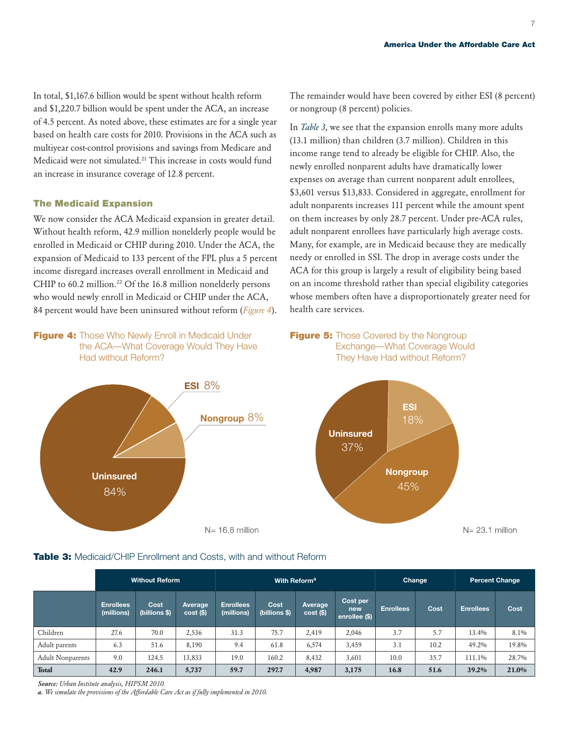In total, \$1,167.6 billion would be spent without health reform and \$1,220.7 billion would be spent under the ACA, an increase of 4.5 percent. As noted above, these estimates are for a single year based on health care costs for 2010. Provisions in the ACA such as multiyear cost-control provisions and savings from Medicare and Medicaid were not simulated[.21](#page-14-7) This increase in costs would fund an increase in insurance coverage of 12.8 percent.

#### The Medicaid Expansion

We now consider the ACA Medicaid expansion in greater detail. Without health reform, 42.9 million nonelderly people would be enrolled in Medicaid or CHIP during 2010. Under the ACA, the expansion of Medicaid to 133 percent of the FPL plus a 5 percent income disregard increases overall enrollment in Medicaid and CHIP to  $60.2$  million.<sup>[22](#page-14-8)</sup> Of the  $16.8$  million nonelderly persons who would newly enroll in Medicaid or CHIP under the ACA, 84 percent would have been uninsured without reform (*Figure 4*).

Figure 4: Those Who Newly Enroll in Medicaid Under the ACA—What Coverage Would They Have Had without Reform?



#### The remainder would have been covered by either ESI (8 percent) or nongroup (8 percent) policies.

In *Table 3*, we see that the expansion enrolls many more adults (13.1 million) than children (3.7 million). Children in this income range tend to already be eligible for CHIP. Also, the newly enrolled nonparent adults have dramatically lower expenses on average than current nonparent adult enrollees, \$3,601 versus \$13,833. Considered in aggregate, enrollment for adult nonparents increases 111 percent while the amount spent on them increases by only 28.7 percent. Under pre-ACA rules, adult nonparent enrollees have particularly high average costs. Many, for example, are in Medicaid because they are medically needy or enrolled in SSI. The drop in average costs under the ACA for this group is largely a result of eligibility being based on an income threshold rather than special eligibility categories whose members often have a disproportionately greater need for health care services.

#### **Figure 5:** Those Covered by the Nongroup Exchange—What Coverage Would They Have Had without Reform?



#### Table 3: Medicaid/CHIP Enrollment and Costs, with and without Reform

|                         | <b>Without Reform</b>          |                       | With Reform <sup>a</sup> |                                |                       |                        | <b>Change</b>                    |                  | Percent Change |                  |          |
|-------------------------|--------------------------------|-----------------------|--------------------------|--------------------------------|-----------------------|------------------------|----------------------------------|------------------|----------------|------------------|----------|
|                         | <b>Enrollees</b><br>(millions) | Cost<br>(billions \$) | Average<br>$cost($ \$)   | <b>Enrollees</b><br>(millions) | Cost<br>(billions \$) | Average<br>$cost$ (\$) | Cost per<br>new<br>enrollee (\$) | <b>Enrollees</b> | Cost           | <b>Enrollees</b> | Cost     |
| Children                | 27.6                           | 70.0                  | 2,536                    | 31.3                           | 75.7                  | 2,419                  | 2,046                            | 3.7              | 5.7            | 13.4%            | $8.1\%$  |
| Adult parents           | 6.3                            | 51.6                  | 8.190                    | 9.4                            | 61.8                  | 6,574                  | 3,459                            | 3.1              | 10.2           | 49.2%            | 19.8%    |
| <b>Adult Nonparents</b> | 9.0                            | 124.5                 | 13,833                   | 19.0                           | 160.2                 | 8,432                  | 3,601                            | 10.0             | 35.7           | 111.1%           | 28.7%    |
| <b>Total</b>            | 42.9                           | 246.1                 | 5,737                    | 59.7                           | 297.7                 | 4,987                  | 3,175                            | 16.8             | 51.6           | 39.2%            | $21.0\%$ |

*Source: Urban Institute analysis, HIPSM 2010.*

*a. We simulate the provisions of the Affordable Care Act as if fully implemented in 2010.*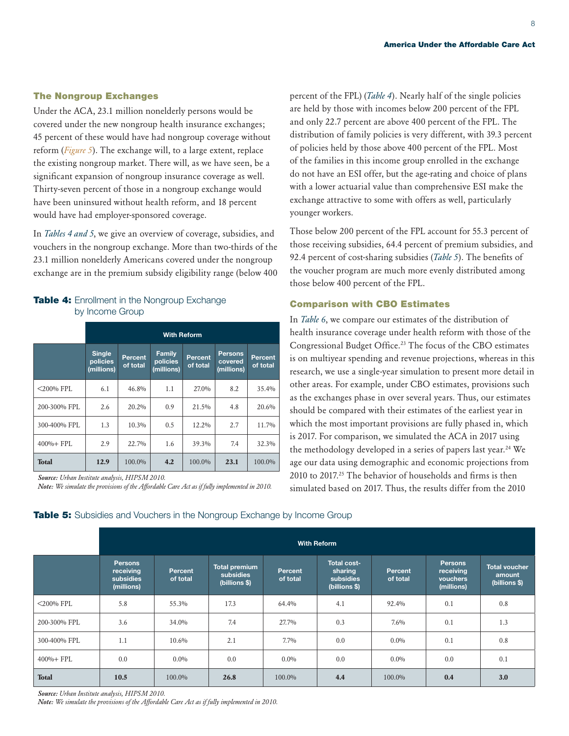#### The Nongroup Exchanges

Under the ACA, 23.1 million nonelderly persons would be covered under the new nongroup health insurance exchanges; 45 percent of these would have had nongroup coverage without reform (*Figure 5*). The exchange will, to a large extent, replace the existing nongroup market. There will, as we have seen, be a significant expansion of nongroup insurance coverage as well. Thirty-seven percent of those in a nongroup exchange would have been uninsured without health reform, and 18 percent would have had employer-sponsored coverage.

In *Tables 4 and 5*, we give an overview of coverage, subsidies, and vouchers in the nongroup exchange. More than two-thirds of the 23.1 million nonelderly Americans covered under the nongroup exchange are in the premium subsidy eligibility range (below 400

#### Table 4: Enrollment in the Nongroup Exchange by Income Group

|               | <b>With Reform</b>                      |                            |                                  |                            |                                         |                            |
|---------------|-----------------------------------------|----------------------------|----------------------------------|----------------------------|-----------------------------------------|----------------------------|
|               | <b>Single</b><br>policies<br>(millions) | <b>Percent</b><br>of total | Family<br>policies<br>(millions) | <b>Percent</b><br>of total | <b>Persons</b><br>covered<br>(millions) | <b>Percent</b><br>of total |
| $<$ 200% FPL  | 6.1                                     | 46.8%                      | 1.1                              | 27.0%                      | 8.2                                     | 35.4%                      |
| 200-300% FPL  | 2.6                                     | 20.2%                      | 0.9                              | 21.5%                      | 4.8                                     | 20.6%                      |
| 300-400% FPL  | 1.3                                     | 10.3%                      | 0.5                              | 12.2%                      | 2.7                                     | 11.7%                      |
| $400\% + FPL$ | 2.9                                     | $22.7\%$                   | 1.6                              | 39.3%                      | 7.4                                     | 32.3%                      |
| <b>Total</b>  | 12.9                                    | 100.0%                     | 4.2                              | 100.0%                     | 23.1                                    | 100.0%                     |

*Source: Urban Institute analysis, HIPSM 2010. Note: We simulate the provisions of the Affordable Care Act as if fully implemented in 2010.* percent of the FPL) (*Table 4*). Nearly half of the single policies are held by those with incomes below 200 percent of the FPL and only 22.7 percent are above 400 percent of the FPL. The distribution of family policies is very different, with 39.3 percent of policies held by those above 400 percent of the FPL. Most of the families in this income group enrolled in the exchange do not have an ESI offer, but the age-rating and choice of plans with a lower actuarial value than comprehensive ESI make the exchange attractive to some with offers as well, particularly younger workers.

Those below 200 percent of the FPL account for 55.3 percent of those receiving subsidies, 64.4 percent of premium subsidies, and 92.4 percent of cost-sharing subsidies (*Table 5*). The benefits of the voucher program are much more evenly distributed among those below 400 percent of the FPL.

#### Comparison with CBO Estimates

In *Table 6*, we compare our estimates of the distribution of health insurance coverage under health reform with those of the Congressional Budget Office.<sup>[23](#page-14-9)</sup> The focus of the CBO estimates is on multiyear spending and revenue projections, whereas in this research, we use a single-year simulation to present more detail in other areas. For example, under CBO estimates, provisions such as the exchanges phase in over several years. Thus, our estimates should be compared with their estimates of the earliest year in which the most important provisions are fully phased in, which is 2017. For comparison, we simulated the ACA in 2017 using the methodology developed in a series of papers last year.<sup>24</sup> We age our data using demographic and economic projections from 2010 to 2017.[25](#page-14-11) The behavior of households and firms is then simulated based on 2017. Thus, the results differ from the 2010

#### Table 5: Subsidies and Vouchers in the Nongroup Exchange by Income Group

|               | <b>With Reform</b>                                     |                            |                                                    |                     |                                                             |                     |                                                |                                                 |
|---------------|--------------------------------------------------------|----------------------------|----------------------------------------------------|---------------------|-------------------------------------------------------------|---------------------|------------------------------------------------|-------------------------------------------------|
|               | <b>Persons</b><br>receiving<br>subsidies<br>(millions) | <b>Percent</b><br>of total | <b>Total premium</b><br>subsidies<br>(billions \$) | Percent<br>of total | <b>Total cost-</b><br>sharing<br>subsidies<br>(billions \$) | Percent<br>of total | Persons<br>receiving<br>vouchers<br>(millions) | <b>Total voucher</b><br>amount<br>(billions \$) |
| $<$ 200% FPL  | 5.8                                                    | 55.3%                      | 17.3                                               | $64.4\%$            | 4.1                                                         | 92.4%               | 0.1                                            | 0.8                                             |
| 200-300% FPL  | 3.6                                                    | 34.0%                      | 7.4                                                | 27.7%               | 0.3                                                         | $7.6\%$             | 0.1                                            | 1.3                                             |
| 300-400% FPL  | 1.1                                                    | $10.6\%$                   | 2.1                                                | $7.7\%$             | 0.0                                                         | $0.0\%$             | 0.1                                            | 0.8                                             |
| $400\% + FPL$ | 0.0                                                    | $0.0\%$                    | 0.0                                                | $0.0\%$             | 0.0                                                         | $0.0\%$             | 0.0                                            | 0.1                                             |
| <b>Total</b>  | 10.5                                                   | 100.0%                     | 26.8                                               | 100.0%              | 4.4                                                         | 100.0%              | 0.4                                            | 3.0                                             |

*Source: Urban Institute analysis, HIPSM 2010. Note: We simulate the provisions of the Affordable Care Act as if fully implemented in 2010.*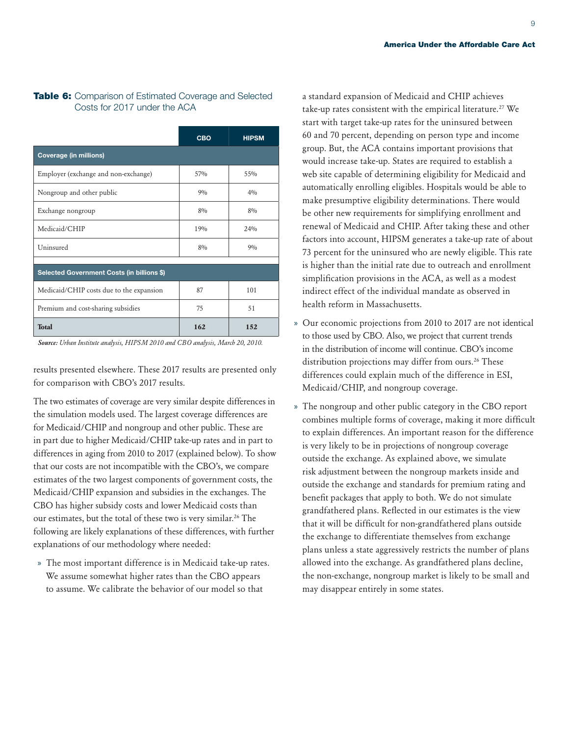#### Table 6: Comparison of Estimated Coverage and Selected Costs for 2017 under the ACA

|                                            | <b>CBO</b> | <b>HIPSM</b> |
|--------------------------------------------|------------|--------------|
| <b>Coverage (in millions)</b>              |            |              |
| Employer (exchange and non-exchange)       | 57%        | $55\%$       |
| Nongroup and other public                  | 90/0       | 40/0         |
| Exchange nongroup                          | $8\%$      | $8\%$        |
| Medicaid/CHIP                              | 19%        | 24%          |
| Uninsured                                  | $8\%$      | 90/0         |
| Selected Government Costs (in billions \$) |            |              |
| Medicaid/CHIP costs due to the expansion   | 87         | 101          |
| Premium and cost-sharing subsidies         | 75         | 51           |
| <b>Total</b>                               | 162        | 152          |

*Source: Urban Institute analysis, HIPSM 2010 and CBO analysis, March 20, 2010.*

results presented elsewhere. These 2017 results are presented only for comparison with CBO's 2017 results.

The two estimates of coverage are very similar despite differences in the simulation models used. The largest coverage differences are for Medicaid/CHIP and nongroup and other public. These are in part due to higher Medicaid/CHIP take-up rates and in part to differences in aging from 2010 to 2017 (explained below). To show that our costs are not incompatible with the CBO's, we compare estimates of the two largest components of government costs, the Medicaid/CHIP expansion and subsidies in the exchanges. The CBO has higher subsidy costs and lower Medicaid costs than our estimates, but the total of these two is very similar.[26](#page-14-12) The following are likely explanations of these differences, with further explanations of our methodology where needed:

» The most important difference is in Medicaid take-up rates. We assume somewhat higher rates than the CBO appears to assume. We calibrate the behavior of our model so that

a standard expansion of Medicaid and CHIP achieves take-up rates consistent with the empirical literature.[27](#page-14-13) We start with target take-up rates for the uninsured between 60 and 70 percent, depending on person type and income group. But, the ACA contains important provisions that would increase take-up. States are required to establish a web site capable of determining eligibility for Medicaid and automatically enrolling eligibles. Hospitals would be able to make presumptive eligibility determinations. There would be other new requirements for simplifying enrollment and renewal of Medicaid and CHIP. After taking these and other factors into account, HIPSM generates a take-up rate of about 73 percent for the uninsured who are newly eligible. This rate is higher than the initial rate due to outreach and enrollment simplification provisions in the ACA, as well as a modest indirect effect of the individual mandate as observed in health reform in Massachusetts.

- » Our economic projections from 2010 to 2017 are not identical to those used by CBO. Also, we project that current trends in the distribution of income will continue. CBO's income distribution projections may differ from ours.<sup>26</sup> These differences could explain much of the difference in ESI, Medicaid/CHIP, and nongroup coverage.
- » The nongroup and other public category in the CBO report combines multiple forms of coverage, making it more difficult to explain differences. An important reason for the difference is very likely to be in projections of nongroup coverage outside the exchange. As explained above, we simulate risk adjustment between the nongroup markets inside and outside the exchange and standards for premium rating and benefit packages that apply to both. We do not simulate grandfathered plans. Reflected in our estimates is the view that it will be difficult for non-grandfathered plans outside the exchange to differentiate themselves from exchange plans unless a state aggressively restricts the number of plans allowed into the exchange. As grandfathered plans decline, the non-exchange, nongroup market is likely to be small and may disappear entirely in some states.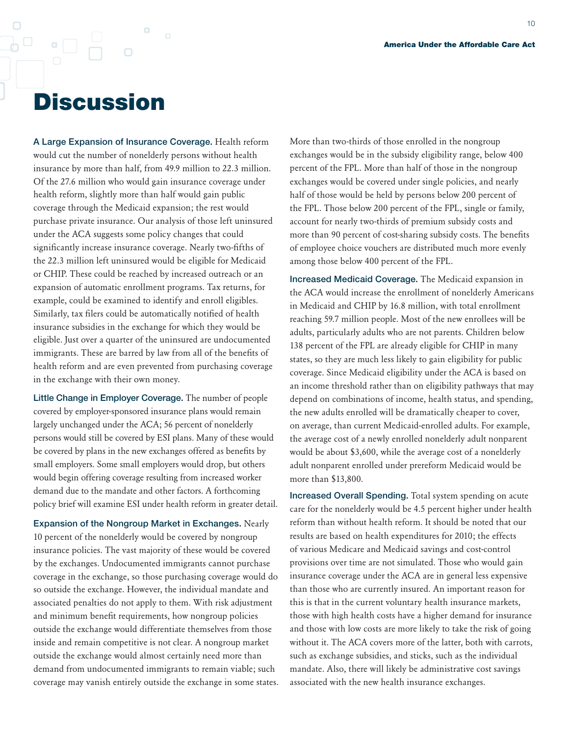## **Discussion**

 $\Box$ 

 $\Box$ 

A Large Expansion of Insurance Coverage. Health reform would cut the number of nonelderly persons without health insurance by more than half, from 49.9 million to 22.3 million. Of the 27.6 million who would gain insurance coverage under health reform, slightly more than half would gain public coverage through the Medicaid expansion; the rest would purchase private insurance. Our analysis of those left uninsured under the ACA suggests some policy changes that could significantly increase insurance coverage. Nearly two-fifths of the 22.3 million left uninsured would be eligible for Medicaid or CHIP. These could be reached by increased outreach or an expansion of automatic enrollment programs. Tax returns, for example, could be examined to identify and enroll eligibles. Similarly, tax filers could be automatically notified of health insurance subsidies in the exchange for which they would be eligible. Just over a quarter of the uninsured are undocumented immigrants. These are barred by law from all of the benefits of health reform and are even prevented from purchasing coverage in the exchange with their own money.

Little Change in Employer Coverage. The number of people covered by employer-sponsored insurance plans would remain largely unchanged under the ACA; 56 percent of nonelderly persons would still be covered by ESI plans. Many of these would be covered by plans in the new exchanges offered as benefits by small employers. Some small employers would drop, but others would begin offering coverage resulting from increased worker demand due to the mandate and other factors. A forthcoming policy brief will examine ESI under health reform in greater detail.

Expansion of the Nongroup Market in Exchanges. Nearly 10 percent of the nonelderly would be covered by nongroup insurance policies. The vast majority of these would be covered by the exchanges. Undocumented immigrants cannot purchase coverage in the exchange, so those purchasing coverage would do so outside the exchange. However, the individual mandate and associated penalties do not apply to them. With risk adjustment and minimum benefit requirements, how nongroup policies outside the exchange would differentiate themselves from those inside and remain competitive is not clear. A nongroup market outside the exchange would almost certainly need more than demand from undocumented immigrants to remain viable; such coverage may vanish entirely outside the exchange in some states.

More than two-thirds of those enrolled in the nongroup exchanges would be in the subsidy eligibility range, below 400 percent of the FPL. More than half of those in the nongroup exchanges would be covered under single policies, and nearly half of those would be held by persons below 200 percent of the FPL. Those below 200 percent of the FPL, single or family, account for nearly two-thirds of premium subsidy costs and more than 90 percent of cost-sharing subsidy costs. The benefits of employee choice vouchers are distributed much more evenly among those below 400 percent of the FPL.

Increased Medicaid Coverage. The Medicaid expansion in the ACA would increase the enrollment of nonelderly Americans in Medicaid and CHIP by 16.8 million, with total enrollment reaching 59.7 million people. Most of the new enrollees will be adults, particularly adults who are not parents. Children below 138 percent of the FPL are already eligible for CHIP in many states, so they are much less likely to gain eligibility for public coverage. Since Medicaid eligibility under the ACA is based on an income threshold rather than on eligibility pathways that may depend on combinations of income, health status, and spending, the new adults enrolled will be dramatically cheaper to cover, on average, than current Medicaid-enrolled adults. For example, the average cost of a newly enrolled nonelderly adult nonparent would be about \$3,600, while the average cost of a nonelderly adult nonparent enrolled under prereform Medicaid would be more than \$13,800.

Increased Overall Spending. Total system spending on acute care for the nonelderly would be 4.5 percent higher under health reform than without health reform. It should be noted that our results are based on health expenditures for 2010; the effects of various Medicare and Medicaid savings and cost-control provisions over time are not simulated. Those who would gain insurance coverage under the ACA are in general less expensive than those who are currently insured. An important reason for this is that in the current voluntary health insurance markets, those with high health costs have a higher demand for insurance and those with low costs are more likely to take the risk of going without it. The ACA covers more of the latter, both with carrots, such as exchange subsidies, and sticks, such as the individual mandate. Also, there will likely be administrative cost savings associated with the new health insurance exchanges.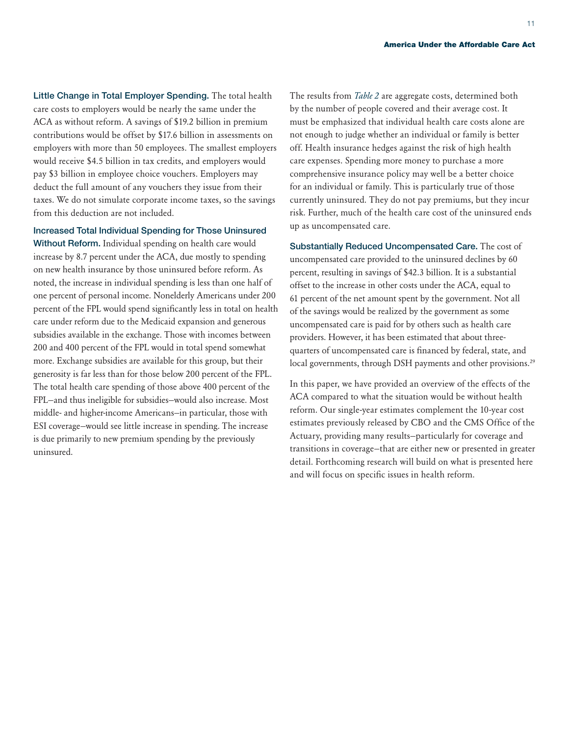Little Change in Total Employer Spending. The total health care costs to employers would be nearly the same under the ACA as without reform. A savings of \$19.2 billion in premium contributions would be offset by \$17.6 billion in assessments on employers with more than 50 employees. The smallest employers would receive \$4.5 billion in tax credits, and employers would pay \$3 billion in employee choice vouchers. Employers may deduct the full amount of any vouchers they issue from their taxes. We do not simulate corporate income taxes, so the savings from this deduction are not included.

Increased Total Individual Spending for Those Uninsured

Without Reform. Individual spending on health care would increase by 8.7 percent under the ACA, due mostly to spending on new health insurance by those uninsured before reform. As noted, the increase in individual spending is less than one half of one percent of personal income. Nonelderly Americans under 200 percent of the FPL would spend significantly less in total on health care under reform due to the Medicaid expansion and generous subsidies available in the exchange. Those with incomes between 200 and 400 percent of the FPL would in total spend somewhat more. Exchange subsidies are available for this group, but their generosity is far less than for those below 200 percent of the FPL. The total health care spending of those above 400 percent of the FPL—and thus ineligible for subsidies—would also increase. Most middle- and higher-income Americans—in particular, those with ESI coverage—would see little increase in spending. The increase is due primarily to new premium spending by the previously uninsured.

The results from *Table 2* are aggregate costs, determined both by the number of people covered and their average cost. It must be emphasized that individual health care costs alone are not enough to judge whether an individual or family is better off. Health insurance hedges against the risk of high health care expenses. Spending more money to purchase a more comprehensive insurance policy may well be a better choice for an individual or family. This is particularly true of those currently uninsured. They do not pay premiums, but they incur risk. Further, much of the health care cost of the uninsured ends up as uncompensated care.

Substantially Reduced Uncompensated Care. The cost of uncompensated care provided to the uninsured declines by 60 percent, resulting in savings of \$42.3 billion. It is a substantial offset to the increase in other costs under the ACA, equal to 61 percent of the net amount spent by the government. Not all of the savings would be realized by the government as some uncompensated care is paid for by others such as health care providers. However, it has been estimated that about threequarters of uncompensated care is financed by federal, state, and local governments, through DSH payments and other provisions.<sup>29</sup>

In this paper, we have provided an overview of the effects of the ACA compared to what the situation would be without health reform. Our single-year estimates complement the 10-year cost estimates previously released by CBO and the CMS Office of the Actuary, providing many results—particularly for coverage and transitions in coverage—that are either new or presented in greater detail. Forthcoming research will build on what is presented here and will focus on specific issues in health reform.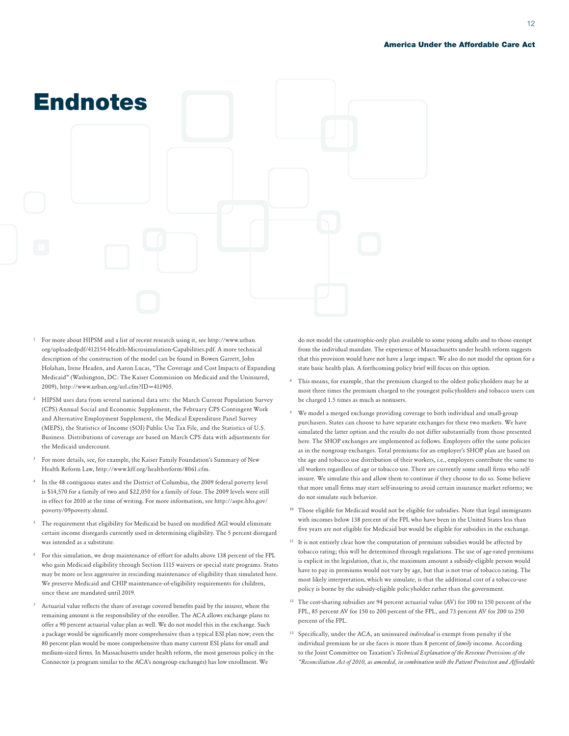

- <span id="page-13-0"></span><sup>1</sup> For more about HIPSM and a list of recent research using it, see http://www.urban. org/uploadedpdf/412154-Health-Microsimulation-Capabilities.pdf. A more technical description of the construction of the model can be found in Bowen Garrett, John Holahan, Irene Headen, and Aaron Lucas, "The Coverage and Cost Impacts of Expanding Medicaid" (Washington, DC: The Kaiser Commission on Medicaid and the Uninsured, 2009), http://www.urban.org/url.cfm?ID=411905.
- <span id="page-13-1"></span><sup>2</sup> HIPSM uses data from several national data sets: the March Current Population Survey (CPS) Annual Social and Economic Supplement, the February CPS Contingent Work and Alternative Employment Supplement, the Medical Expenditure Panel Survey (MEPS), the Statistics of Income (SOI) Public Use Tax File, and the Statistics of U.S. Business. Distributions of coverage are based on March CPS data with adjustments for the Medicaid undercount.
- <span id="page-13-2"></span><sup>3</sup> For more details, see, for example, the Kaiser Family Foundation's Summary of New Health Reform Law, http://www.kff.org/healthreform/8061.cfm.
- <span id="page-13-3"></span>In the 48 contiguous states and the District of Columbia, the 2009 federal poverty level is \$14,570 for a family of two and \$22,050 for a family of four. The 2009 levels were still in effect for 2010 at the time of writing. For more information, see http://aspe.hhs.gov/ poverty/09poverty.shtml.
- <span id="page-13-4"></span><sup>5</sup> The requirement that eligibility for Medicaid be based on modified AGI would eliminate certain income disregards currently used in determining eligibility. The 5 percent disregard was intended as a substitute.
- <span id="page-13-5"></span><sup>6</sup> For this simulation, we drop maintenance of effort for adults above 138 percent of the FPL who gain Medicaid eligibility through Section 1115 waivers or special state programs. States may be more or less aggressive in rescinding maintenance of eligibility than simulated here. We preserve Medicaid and CHIP maintenance-of-eligibility requirements for children, since these are mandated until 2019.
- <span id="page-13-6"></span>Actuarial value reflects the share of average covered benefits paid by the insurer, where the remaining amount is the responsibility of the enrollee. The ACA allows exchange plans to offer a 90 percent actuarial value plan as well. We do not model this in the exchange. Such a package would be significantly more comprehensive than a typical ESI plan now; even the 80 percent plan would be more comprehensive than many current ESI plans for small and medium-sized firms. In Massachusetts under health reform, the most generous policy in the Connector (a program similar to the ACA's nongroup exchanges) has low enrollment. We

do not model the catastrophic-only plan available to some young adults and to those exempt from the individual mandate. The experience of Massachusetts under health reform suggests that this provision would have not have a large impact. We also do not model the option for a state basic health plan. A forthcoming policy brief will focus on this option.

- <span id="page-13-7"></span><sup>8</sup> This means, for example, that the premium charged to the oldest policyholders may be at most three times the premium charged to the youngest policyholders and tobacco users can be charged 1.5 times as much as nonusers.
- <span id="page-13-8"></span>We model a merged exchange providing coverage to both individual and small-group purchasers. States can choose to have separate exchanges for these two markets. We have simulated the latter option and the results do not differ substantially from those presented here. The SHOP exchanges are implemented as follows. Employers offer the same policies as in the nongroup exchanges. Total premiums for an employer's SHOP plan are based on the age and tobacco use distribution of their workers, i.e., employers contribute the same to all workers regardless of age or tobacco use. There are currently some small firms who selfinsure. We simulate this and allow them to continue if they choose to do so. Some believe that more small firms may start self-insuring to avoid certain insurance market reforms; we do not simulate such behavior.
- <span id="page-13-9"></span><sup>10</sup> Those eligible for Medicaid would not be eligible for subsidies. Note that legal immigrants with incomes below 138 percent of the FPL who have been in the United States less than five years are not eligible for Medicaid but would be eligible for subsidies in the exchange.
- <span id="page-13-10"></span><sup>11</sup> It is not entirely clear how the computation of premium subsidies would be affected by tobacco rating; this will be determined through regulations. The use of age-rated premiums is explicit in the legislation, that is, the maximum amount a subsidy-eligible person would have to pay in premiums would not vary by age, but that is not true of tobacco rating. The most likely interpretation, which we simulate, is that the additional cost of a tobacco-use policy is borne by the subsidy-eligible policyholder rather than the government.
- <span id="page-13-11"></span><sup>12</sup> The cost-sharing subsidies are 94 percent actuarial value (AV) for 100 to 150 percent of the FPL, 85 percent AV for 150 to 200 percent of the FPL, and 73 percent AV for 200 to 250 percent of the FPL.
- <span id="page-13-12"></span><sup>13</sup> Specifically, under the ACA, an uninsured *individual* is exempt from penalty if the individual premium he or she faces is more than 8 percent of *family* income. According to the Joint Committee on Taxation's *Technical Explanation of the Revenue Provisions of the "Reconciliation Act of 2010, as amended, in combination with the Patient Protection and Affordable*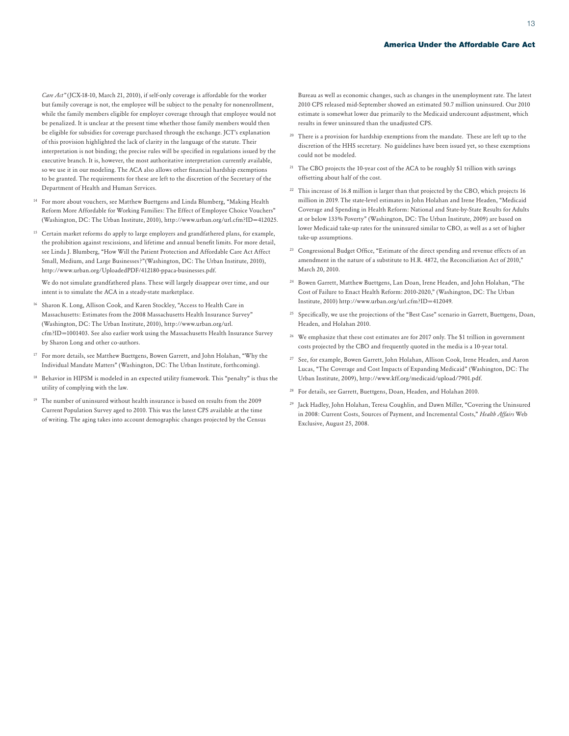*Care Act"* (JCX-18-10, March 21, 2010), if self-only coverage is affordable for the worker but family coverage is not, the employee will be subject to the penalty for nonenrollment, while the family members eligible for employer coverage through that employee would not be penalized. It is unclear at the present time whether those family members would then be eligible for subsidies for coverage purchased through the exchange. JCT's explanation of this provision highlighted the lack of clarity in the language of the statute. Their interpretation is not binding; the precise rules will be specified in regulations issued by the executive branch. It is, however, the most authoritative interpretation currently available, so we use it in our modeling. The ACA also allows other financial hardship exemptions to be granted. The requirements for these are left to the discretion of the Secretary of the Department of Health and Human Services.

- <span id="page-14-0"></span><sup>14</sup> For more about vouchers, see Matthew Buettgens and Linda Blumberg, "Making Health Reform More Affordable for Working Families: The Effect of Employee Choice Vouchers" (Washington, DC: The Urban Institute, 2010), http://www.urban.org/url.cfm?ID=412025.
- <span id="page-14-1"></span><sup>15</sup> Certain market reforms do apply to large employers and grandfathered plans, for example, the prohibition against rescissions, and lifetime and annual benefit limits. For more detail, see Linda J. Blumberg, "How Will the Patient Protection and Affordable Care Act Affect Small, Medium, and Large Businesses?"(Washington, DC: The Urban Institute, 2010), http://www.urban.org/UploadedPDF/412180-ppaca-businesses.pdf.

We do not simulate grandfathered plans. These will largely disappear over time, and our intent is to simulate the ACA in a steady-state marketplace.

- <span id="page-14-2"></span>Sharon K. Long, Allison Cook, and Karen Stockley, "Access to Health Care in Massachusetts: Estimates from the 2008 Massachusetts Health Insurance Survey" (Washington, DC: The Urban Institute, 2010), http://www.urban.org/url. cfm?ID=1001403. See also earlier work using the Massachusetts Health Insurance Survey by Sharon Long and other co-authors.
- <span id="page-14-3"></span><sup>17</sup> For more details, see Matthew Buettgens, Bowen Garrett, and John Holahan, "Why the Individual Mandate Matters" (Washington, DC: The Urban Institute, forthcoming).
- <span id="page-14-4"></span><sup>18</sup> Behavior in HIPSM is modeled in an expected utility framework. This "penalty" is thus the utility of complying with the law.
- <span id="page-14-5"></span><sup>19</sup> The number of uninsured without health insurance is based on results from the 2009 Current Population Survey aged to 2010. This was the latest CPS available at the time of writing. The aging takes into account demographic changes projected by the Census

Bureau as well as economic changes, such as changes in the unemployment rate. The latest 2010 CPS released mid-September showed an estimated 50.7 million uninsured. Our 2010 estimate is somewhat lower due primarily to the Medicaid undercount adjustment, which results in fewer uninsured than the unadjusted CPS.

- <span id="page-14-6"></span><sup>20</sup> There is a provision for hardship exemptions from the mandate. These are left up to the discretion of the HHS secretary. No guidelines have been issued yet, so these exemptions could not be modeled.
- <span id="page-14-7"></span><sup>21</sup> The CBO projects the 10-year cost of the ACA to be roughly \$1 trillion with savings offsetting about half of the cost.
- <span id="page-14-8"></span><sup>22</sup> This increase of 16.8 million is larger than that projected by the CBO, which projects 16 million in 2019. The state-level estimates in John Holahan and Irene Headen, "Medicaid Coverage and Spending in Health Reform: National and State-by-State Results for Adults at or below 133% Poverty" (Washington, DC: The Urban Institute, 2009) are based on lower Medicaid take-up rates for the uninsured similar to CBO, as well as a set of higher take-up assumptions.
- <span id="page-14-9"></span><sup>23</sup> Congressional Budget Office, "Estimate of the direct spending and revenue effects of an amendment in the nature of a substitute to H.R. 4872, the Reconciliation Act of 2010," March 20, 2010.
- <span id="page-14-10"></span><sup>24</sup> Bowen Garrett, Matthew Buettgens, Lan Doan, Irene Headen, and John Holahan, "The Cost of Failure to Enact Health Reform: 2010-2020," (Washington, DC: The Urban Institute, 2010) http://www.urban.org/url.cfm?ID=412049.
- <span id="page-14-11"></span><sup>25</sup> Specifically, we use the projections of the "Best Case" scenario in Garrett, Buettgens, Doan, Headen, and Holahan 2010.
- <span id="page-14-12"></span><sup>26</sup> We emphasize that these cost estimates are for 2017 only. The \$1 trillion in government costs projected by the CBO and frequently quoted in the media is a 10-year total.
- <span id="page-14-13"></span><sup>27</sup> See, for example, Bowen Garrett, John Holahan, Allison Cook, Irene Headen, and Aaron Lucas, "The Coverage and Cost Impacts of Expanding Medicaid" (Washington, DC: The Urban Institute, 2009), http://www.kff.org/medicaid/upload/7901.pdf.
- <sup>28</sup> For details, see Garrett, Buettgens, Doan, Headen, and Holahan 2010.
- <span id="page-14-14"></span><sup>29</sup> Jack Hadley, John Holahan, Teresa Coughlin, and Dawn Miller, "Covering the Uninsured in 2008: Current Costs, Sources of Payment, and Incremental Costs," *Health Affairs* Web Exclusive, August 25, 2008.